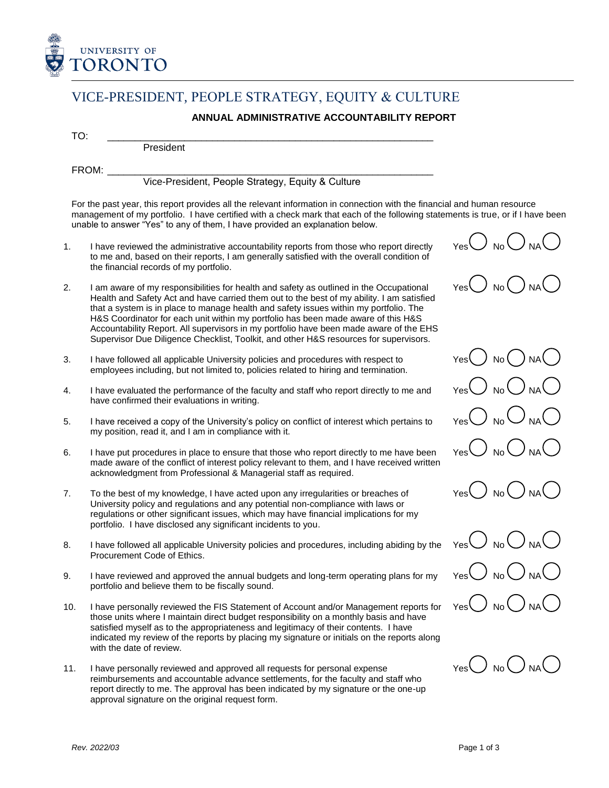

## VICE-PRESIDENT, PEOPLE STRATEGY, EQUITY & CULTURE

## **ANNUAL ADMINISTRATIVE ACCOUNTABILITY REPORT**

TO: \_\_\_\_\_\_\_\_\_\_\_\_\_\_\_\_\_\_\_\_\_\_\_\_\_\_\_\_\_\_\_\_\_\_\_\_\_\_\_\_\_\_\_\_\_\_\_\_\_\_\_\_\_\_\_\_\_\_\_

President

FROM: \_\_\_\_\_\_\_\_\_\_\_\_\_\_\_\_\_\_\_\_\_\_\_\_\_\_\_\_\_\_\_\_\_\_\_\_\_\_\_\_\_\_\_\_\_\_\_\_\_\_\_\_\_\_\_\_\_\_\_

Vice-President, People Strategy, Equity & Culture

For the past year, this report provides all the relevant information in connection with the financial and human resource management of my portfolio. I have certified with a check mark that each of the following statements is true, or if I have been unable to answer "Yes" to any of them, I have provided an explanation below.

- 1. I have reviewed the administrative accountability reports from those who report directly to me and, based on their reports, I am generally satisfied with the overall condition of the financial records of my portfolio.
- 2. I am aware of my responsibilities for health and safety as outlined in the Occupational Health and Safety Act and have carried them out to the best of my ability. I am satisfied that a system is in place to manage health and safety issues within my portfolio. The H&S Coordinator for each unit within my portfolio has been made aware of this H&S Accountability Report. All supervisors in my portfolio have been made aware of the EHS Supervisor Due Diligence Checklist, Toolkit, and other H&S resources for supervisors.
- 3. I have followed all applicable University policies and procedures with respect to employees including, but not limited to, policies related to hiring and termination.
- 4. I have evaluated the performance of the faculty and staff who report directly to me and have confirmed their evaluations in writing.
- 5. I have received a copy of the University's policy on conflict of interest which pertains to my position, read it, and I am in compliance with it.
- 6. I have put procedures in place to ensure that those who report directly to me have been made aware of the conflict of interest policy relevant to them, and I have received written acknowledgment from Professional & Managerial staff as required.
- 7. To the best of my knowledge, I have acted upon any irregularities or breaches of University policy and regulations and any potential non-compliance with laws or regulations or other significant issues, which may have financial implications for my portfolio. I have disclosed any significant incidents to you.
- 8. I have followed all applicable University policies and procedures, including abiding by the Procurement Code of Ethics.
- 9. I have reviewed and approved the annual budgets and long-term operating plans for my portfolio and believe them to be fiscally sound.
- 10. I have personally reviewed the FIS Statement of Account and/or Management reports for those units where I maintain direct budget responsibility on a monthly basis and have satisfied myself as to the appropriateness and legitimacy of their contents. I have indicated my review of the reports by placing my signature or initials on the reports along with the date of review.
- 11. I have personally reviewed and approved all requests for personal expense reimbursements and accountable advance settlements, for the faculty and staff who report directly to me. The approval has been indicated by my signature or the one-up approval signature on the original request form.









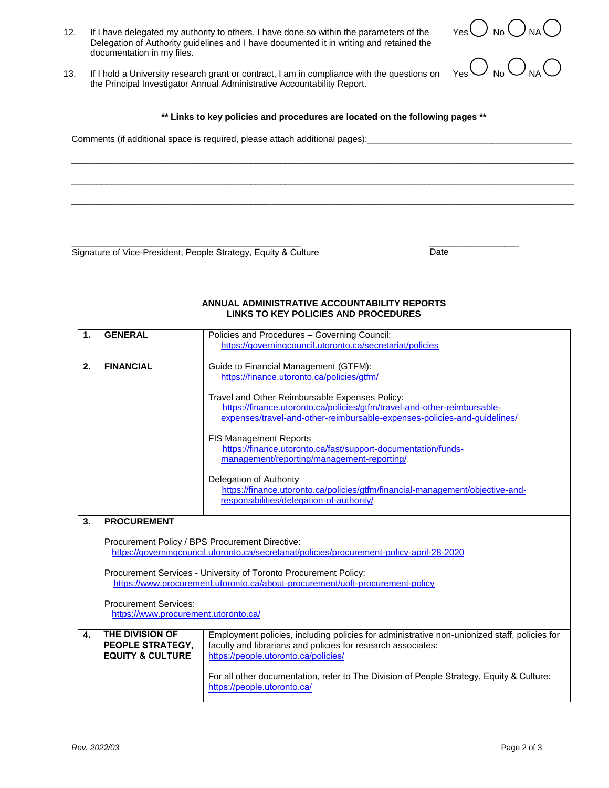- 12. If I have delegated my authority to others, I have done so within the parameters of the Delegation of Authority guidelines and I have documented it in writing and retained the documentation in my files.
- Yes  $\cup$  No  $\cup$  NA

Yes  $\bigcup$  No  $\bigcup$  NA

13. If I hold a University research grant or contract, I am in compliance with the questions on the Principal Investigator Annual Administrative Accountability Report.

**\*\* Links to key policies and procedures are located on the following pages \*\***

\_\_\_\_\_\_\_\_\_\_\_\_\_\_\_\_\_\_\_\_\_\_\_\_\_\_\_\_\_\_\_\_\_\_\_\_\_\_\_\_\_\_\_\_\_\_\_\_\_\_\_\_\_\_\_\_\_\_\_\_\_\_\_\_\_\_\_\_\_\_\_\_\_\_\_\_\_\_\_\_\_\_\_\_\_\_\_\_\_\_\_\_\_\_\_\_\_\_\_\_\_

\_\_\_\_\_\_\_\_\_\_\_\_\_\_\_\_\_\_\_\_\_\_\_\_\_\_\_\_\_\_\_\_\_\_\_\_\_\_\_\_\_\_\_\_\_\_\_\_\_\_\_\_\_\_\_\_\_\_\_\_\_\_\_\_\_\_\_\_\_\_\_\_\_\_\_\_\_\_\_\_\_\_\_\_\_\_\_\_\_\_\_\_\_\_\_\_\_\_\_\_\_

\_\_\_\_\_\_\_\_\_\_\_\_\_\_\_\_\_\_\_\_\_\_\_\_\_\_\_\_\_\_\_\_\_\_\_\_\_\_\_\_\_\_\_\_\_\_\_\_\_\_\_\_\_\_\_\_\_\_\_\_\_\_\_\_\_\_\_\_\_\_\_\_\_\_\_\_\_\_\_\_\_\_\_\_\_\_\_\_\_\_\_\_\_\_\_\_\_\_\_\_\_

Comments (if additional space is required, please attach additional pages):

 $\overline{\phantom{a}}$  , and the contribution of the contribution of the contribution of the contribution of the contribution of the contribution of the contribution of the contribution of the contribution of the contribution of the Signature of Vice-President, People Strategy, Equity & Culture Date

## **ANNUAL ADMINISTRATIVE ACCOUNTABILITY REPORTS LINKS TO KEY POLICIES AND PROCEDURES**

| 1. | <b>GENERAL</b>                                                                                                                                | Policies and Procedures - Governing Council:                                                 |
|----|-----------------------------------------------------------------------------------------------------------------------------------------------|----------------------------------------------------------------------------------------------|
|    |                                                                                                                                               | https://governingcouncil.utoronto.ca/secretariat/policies                                    |
|    |                                                                                                                                               |                                                                                              |
| 2. | <b>FINANCIAL</b>                                                                                                                              | Guide to Financial Management (GTFM):                                                        |
|    |                                                                                                                                               | https://finance.utoronto.ca/policies/gtfm/                                                   |
|    |                                                                                                                                               |                                                                                              |
|    |                                                                                                                                               | Travel and Other Reimbursable Expenses Policy:                                               |
|    |                                                                                                                                               | https://finance.utoronto.ca/policies/gtfm/travel-and-other-reimbursable-                     |
|    |                                                                                                                                               | expenses/travel-and-other-reimbursable-expenses-policies-and-guidelines/                     |
|    |                                                                                                                                               |                                                                                              |
|    |                                                                                                                                               | <b>FIS Management Reports</b>                                                                |
|    |                                                                                                                                               | https://finance.utoronto.ca/fast/support-documentation/funds-                                |
|    |                                                                                                                                               | management/reporting/management-reporting/                                                   |
|    |                                                                                                                                               |                                                                                              |
|    |                                                                                                                                               | Delegation of Authority                                                                      |
|    |                                                                                                                                               | https://finance.utoronto.ca/policies/gtfm/financial-management/objective-and-                |
|    |                                                                                                                                               | responsibilities/delegation-of-authority/                                                    |
|    |                                                                                                                                               |                                                                                              |
| 3. | <b>PROCUREMENT</b>                                                                                                                            |                                                                                              |
|    |                                                                                                                                               |                                                                                              |
|    |                                                                                                                                               |                                                                                              |
|    | Procurement Policy / BPS Procurement Directive:<br>https://governingcouncil.utoronto.ca/secretariat/policies/procurement-policy-april-28-2020 |                                                                                              |
|    |                                                                                                                                               |                                                                                              |
|    | Procurement Services - University of Toronto Procurement Policy:                                                                              |                                                                                              |
|    | https://www.procurement.utoronto.ca/about-procurement/uoft-procurement-policy                                                                 |                                                                                              |
|    |                                                                                                                                               |                                                                                              |
|    | <b>Procurement Services:</b>                                                                                                                  |                                                                                              |
|    | https://www.procurement.utoronto.ca/                                                                                                          |                                                                                              |
|    |                                                                                                                                               |                                                                                              |
| 4. | <b>THE DIVISION OF</b>                                                                                                                        | Employment policies, including policies for administrative non-unionized staff, policies for |
|    | PEOPLE STRATEGY,                                                                                                                              | faculty and librarians and policies for research associates:                                 |
|    | <b>EQUITY &amp; CULTURE</b>                                                                                                                   | https://people.utoronto.ca/policies/                                                         |
|    |                                                                                                                                               |                                                                                              |
|    |                                                                                                                                               |                                                                                              |
|    |                                                                                                                                               |                                                                                              |
|    |                                                                                                                                               | For all other documentation, refer to The Division of People Strategy, Equity & Culture:     |
|    |                                                                                                                                               | https://people.utoronto.ca/                                                                  |